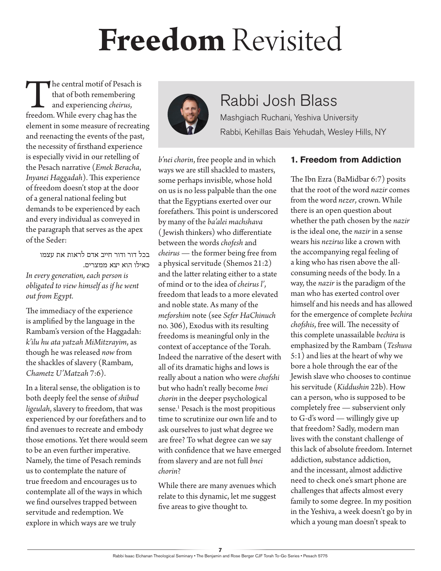# **Freedom** Revisited

The central motif of Pesach is<br>
that of both remembering<br>
and experiencing *cheirus*,<br>
freedom. While every chag has the that of both remembering and experiencing *cheirus*, element in some measure of recreating and reenacting the events of the past, the necessity of firsthand experience is especially vivid in our retelling of the Pesach narrative (*Emek Beracha*, *Inyanei Haggadah*). This experience of freedom doesn't stop at the door of a general national feeling but demands to be experienced by each and every individual as conveyed in the paragraph that serves as the apex of the Seder:

בכל דור ודור חייב אדם לראות את עצמו כאילו הוא יצא ממצרים. *In every generation, each person is obligated to view himself as if he went out from Egypt.*

The immediacy of the experience is amplified by the language in the Rambam's version of the Haggadah: *k'ilu hu ata yatzah MiMitzrayim*, as though he was released *now* from the shackles of slavery (Rambam, *Chametz U'Matzah* 7:6).

In a literal sense, the obligation is to both deeply feel the sense of *shibud ligeulah*, slavery to freedom, that was experienced by our forefathers and to find avenues to recreate and embody those emotions. Yet there would seem to be an even further imperative. Namely, the time of Pesach reminds us to contemplate the nature of true freedom and encourages us to contemplate all of the ways in which we find ourselves trapped between servitude and redemption. We explore in which ways are we truly



### Rabbi Josh Blass

Mashgiach Ruchani, Yeshiva University Rabbi, Kehillas Bais Yehudah, Wesley Hills, NY

*b'nei chorin*, free people and in which ways we are still shackled to masters, some perhaps invisible, whose hold on us is no less palpable than the one that the Egyptians exerted over our forefathers. This point is underscored by many of the *ba'alei machshava* ( Jewish thinkers) who differentiate between the words *chofesh* and *cheirus* — the former being free from a physical servitude (Shemos 21:2) and the latter relating either to a state of mind or to the idea of *cheirus l'*, freedom that leads to a more elevated and noble state. As many of the *meforshim* note (see *Sefer HaChinuch* no. 306), Exodus with its resulting freedoms is meaningful only in the context of acceptance of the Torah. Indeed the narrative of the desert with all of its dramatic highs and lows is really about a nation who were *chofshi* but who hadn't really become *bnei chorin* in the deeper psychological sense.<sup>1</sup> Pesach is the most propitious time to scrutinize our own life and to ask ourselves to just what degree we are free? To what degree can we say with confidence that we have emerged from slavery and are not full *bnei chorin*?

While there are many avenues which relate to this dynamic, let me suggest five areas to give thought to.

#### **1. Freedom from Addiction**

The Ibn Ezra (BaMidbar 6:7) posits that the root of the word *nazir* comes from the word *nezer*, crown. While there is an open question about whether the path chosen by the *nazir* is the ideal one, the *nazir* in a sense wears his *nezirus* like a crown with the accompanying regal feeling of a king who has risen above the allconsuming needs of the body. In a way, the *nazir* is the paradigm of the man who has exerted control over himself and his needs and has allowed for the emergence of complete *bechira chofshis*, free will. The necessity of this complete unassailable *bechira* is emphasized by the Rambam (*Teshuva* 5:1) and lies at the heart of why we bore a hole through the ear of the Jewish slave who chooses to continue his servitude (*Kiddushin* 22b). How can a person, who is supposed to be completely free — subservient only to G-d's word — willingly give up that freedom? Sadly, modern man lives with the constant challenge of this lack of absolute freedom. Internet addiction, substance addiction, and the incessant, almost addictive need to check one's smart phone are challenges that affects almost every family to some degree. In my position in the Yeshiva, a week doesn't go by in which a young man doesn't speak to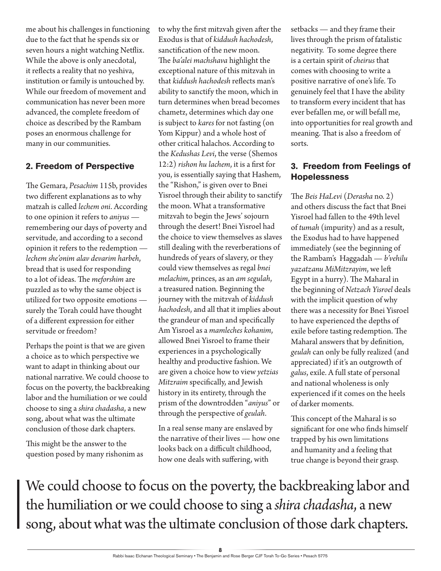me about his challenges in functioning due to the fact that he spends six or seven hours a night watching Netflix. While the above is only anecdotal, it reflects a reality that no yeshiva, institution or family is untouched by. While our freedom of movement and communication has never been more advanced, the complete freedom of choice as described by the Rambam poses an enormous challenge for many in our communities.

#### **2. Freedom of Perspective**

The Gemara, *Pesachim* 115b, provides two different explanations as to why matzah is called *lechem oni*. According to one opinion it refers to *aniyus*  remembering our days of poverty and servitude, and according to a second opinion it refers to the redemption *lechem she'onim alav devarim harbeh*, bread that is used for responding to a lot of ideas. The *meforshim* are puzzled as to why the same object is utilized for two opposite emotions surely the Torah could have thought of a different expression for either servitude or freedom?

Perhaps the point is that we are given a choice as to which perspective we want to adapt in thinking about our national narrative. We could choose to focus on the poverty, the backbreaking labor and the humiliation or we could choose to sing a *shira chadasha*, a new song, about what was the ultimate conclusion of those dark chapters.

This might be the answer to the question posed by many rishonim as to why the first mitzvah given after the Exodus is that of *kiddush hachodesh*, sanctification of the new moon. The *ba'alei machshava* highlight the exceptional nature of this mitzvah in that *kiddush hachodesh* reflects man's ability to sanctify the moon, which in turn determines when bread becomes chametz, determines which day one is subject to *kares* for not fasting (on Yom Kippur) and a whole host of other critical halachos. According to the *Kedushas Levi*, the verse (Shemos 12:2) *rishon hu lachem*, it is a first for you, is essentially saying that Hashem, the "Rishon," is given over to Bnei Yisroel through their ability to sanctify the moon. What a transformative mitzvah to begin the Jews' sojourn through the desert! Bnei Yisroel had the choice to view themselves as slaves still dealing with the reverberations of hundreds of years of slavery, or they could view themselves as regal *bnei melachim*, princes, as an *am segulah*, a treasured nation. Beginning the journey with the mitzvah of *kiddush hachodesh*, and all that it implies about the grandeur of man and specifically Am Yisroel as a *mamleches kohanim*, allowed Bnei Yisroel to frame their experiences in a psychologically healthy and productive fashion. We are given a choice how to view *yetzias Mitzraim* specifically, and Jewish history in its entirety, through the prism of the downtrodden "*aniyus*" or through the perspective of *geulah*.

In a real sense many are enslaved by the narrative of their lives — how one looks back on a difficult childhood, how one deals with suffering, with

setbacks — and they frame their lives through the prism of fatalistic negativity. To some degree there is a certain spirit of *cheirus* that comes with choosing to write a positive narrative of one's life. To genuinely feel that I have the ability to transform every incident that has ever befallen me, or will befall me, into opportunities for real growth and meaning. That is also a freedom of sorts.

#### **3. Freedom from Feelings of Hopelessness**

The *Beis HaLevi* (*Derasha* no. 2) and others discuss the fact that Bnei Yisroel had fallen to the 49th level of *tumah* (impurity) and as a result, the Exodus had to have happened immediately (see the beginning of the Rambam's Haggadah — *b'vehilu yazatzanu MiMitzrayim*, we left Egypt in a hurry). The Maharal in the beginning of *Netzach Yisroel* deals with the implicit question of why there was a necessity for Bnei Yisroel to have experienced the depths of exile before tasting redemption. The Maharal answers that by definition, *geulah* can only be fully realized (and appreciated) if it's an outgrowth of *galus*, exile. A full state of personal and national wholeness is only experienced if it comes on the heels of darker moments.

This concept of the Maharal is so significant for one who finds himself trapped by his own limitations and humanity and a feeling that true change is beyond their grasp.

We could choose to focus on the poverty, the backbreaking labor and the humiliation or we could choose to sing a *shira chadasha*, a new song, about what was the ultimate conclusion of those dark chapters.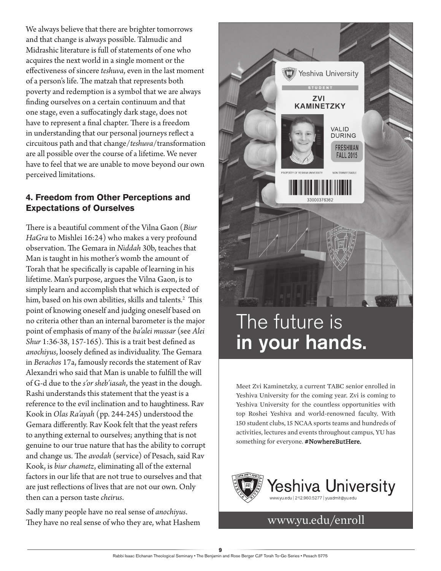We always believe that there are brighter tomorrows and that change is always possible. Talmudic and Midrashic literature is full of statements of one who acquires the next world in a single moment or the effectiveness of sincere *teshuva*, even in the last moment of a person's life. The matzah that represents both poverty and redemption is a symbol that we are always finding ourselves on a certain continuum and that one stage, even a suffocatingly dark stage, does not have to represent a final chapter. There is a freedom in understanding that our personal journeys reflect a circuitous path and that change/*teshuva*/transformation are all possible over the course of a lifetime. We never have to feel that we are unable to move beyond our own perceived limitations.

#### **4. Freedom from Other Perceptions and Expectations of Ourselves**

There is a beautiful comment of the Vilna Gaon (*Biur HaGra* to Mishlei 16:24) who makes a very profound observation. The Gemara in *Niddah* 30b, teaches that Man is taught in his mother's womb the amount of Torah that he specifically is capable of learning in his lifetime. Man's purpose, argues the Vilna Gaon, is to simply learn and accomplish that which is expected of him, based on his own abilities, skills and talents.2 This point of knowing oneself and judging oneself based on no criteria other than an internal barometer is the major point of emphasis of many of the *ba'alei mussar* (see *Alei Shur* 1:36-38, 157-165). This is a trait best defined as *anochiyus*, loosely defined as individuality. The Gemara in *Berachos* 17a, famously records the statement of Rav Alexandri who said that Man is unable to fulfill the will of G-d due to the *s'or sheb'iasah*, the yeast in the dough. Rashi understands this statement that the yeast is a reference to the evil inclination and to haughtiness. Rav Kook in *Olas Ra'ayah* (pp. 244-245) understood the Gemara differently. Rav Kook felt that the yeast refers to anything external to ourselves; anything that is not genuine to our true nature that has the ability to corrupt and change us. The *avodah* (service) of Pesach, said Rav Kook, is *biur chametz*, eliminating all of the external factors in our life that are not true to ourselves and that are just reflections of lives that are not our own. Only then can a person taste *cheirus*.

Sadly many people have no real sense of *anochiyus*. They have no real sense of who they are, what Hashem



## The future is in your hands.

Meet Zvi Kaminetzky, a current TABC senior enrolled in Yeshiva University for the coming year. Zvi is coming to Yeshiva University for the countless opportunities with top Roshei Yeshiva and world-renowned faculty. With 150 student clubs, 15 NCAA sports teams and hundreds of activities, lectures and events throughout campus, YU has something for everyone. #NowhereButHere.



www.yu.edu/enroll